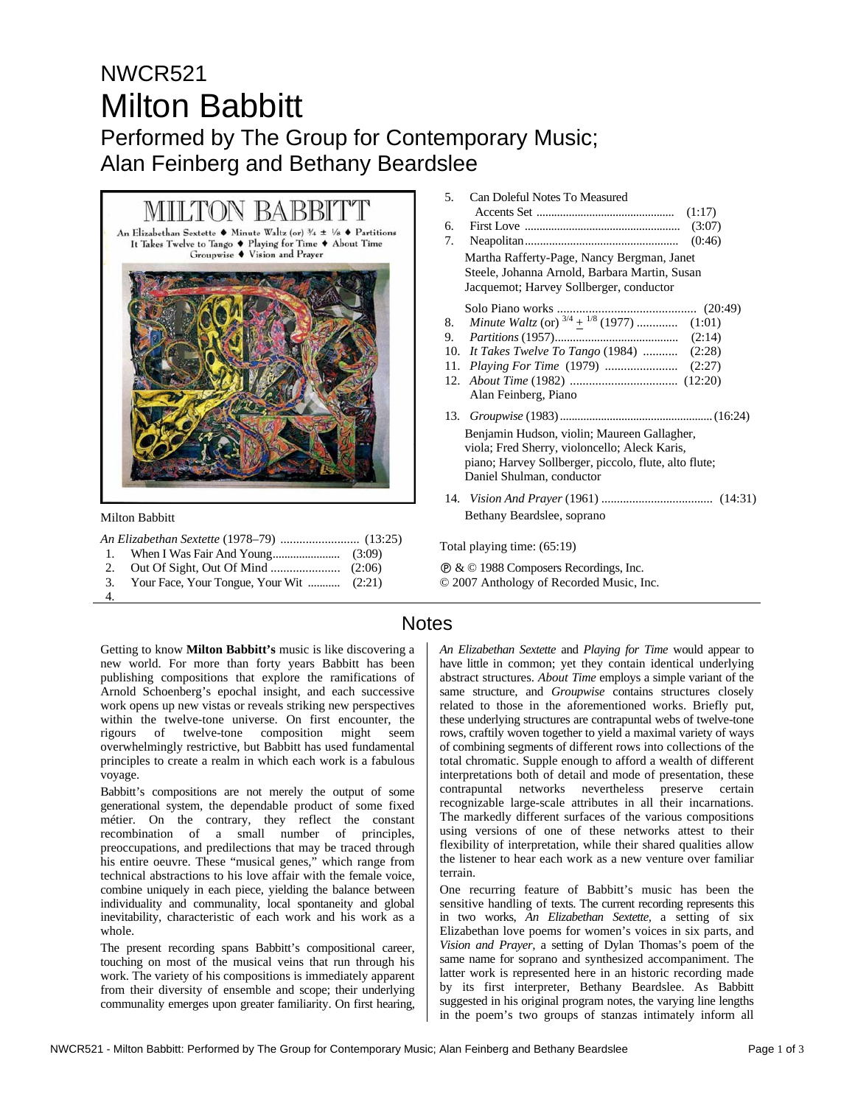# NWCR521 Milton Babbitt Performed by The Group for Contemporary Music;

## Alan Feinberg and Bethany Beardslee



Milton Babbitt

|    | 3. Your Face, Your Tongue, Your Wit  (2:21) |  |
|----|---------------------------------------------|--|
| 4. |                                             |  |

- 5. Can Doleful Notes To Measured Accents Set ............................................... (1:17) 6. First Love ..................................................... (3:07) 7. Neapolitan................................................... (0:46) Martha Rafferty-Page, Nancy Bergman, Janet Steele, Johanna Arnold, Barbara Martin, Susan Jacquemot; Harvey Sollberger, conductor Solo Piano works ............................................ (20:49) 8. *Minute Waltz* (or) 3/4 + 1/8 (1977) ............. (1:01) 9. *Partitions* (1957)......................................... (2:14) 10. *It Takes Twelve To Tango* (1984) ........... (2:28) 11. *Playing For Time* (1979) ....................... (2:27) 12. *About Time* (1982) .................................. (12:20) Alan Feinberg, Piano 13. *Groupwise* (1983)....................................................(16:24) Benjamin Hudson, violin; Maureen Gallagher, viola; Fred Sherry, violoncello; Aleck Karis, piano; Harvey Sollberger, piccolo, flute, alto flute; Daniel Shulman, conductor 14. *Vision And Prayer* (1961) .................................... (14:31)
- Bethany Beardslee, soprano

Total playing time: (65:19)

Ê & © 1988 Composers Recordings, Inc.

© 2007 Anthology of Recorded Music, Inc.

### **Notes**

Getting to know **Milton Babbitt's** music is like discovering a new world. For more than forty years Babbitt has been publishing compositions that explore the ramifications of Arnold Schoenberg's epochal insight, and each successive work opens up new vistas or reveals striking new perspectives within the twelve-tone universe. On first encounter, the rigours of twelve-tone composition might seem overwhelmingly restrictive, but Babbitt has used fundamental principles to create a realm in which each work is a fabulous voyage.

Babbitt's compositions are not merely the output of some generational system, the dependable product of some fixed métier. On the contrary, they reflect the constant recombination of a small number of principles, preoccupations, and predilections that may be traced through his entire oeuvre. These "musical genes," which range from technical abstractions to his love affair with the female voice, combine uniquely in each piece, yielding the balance between individuality and communality, local spontaneity and global inevitability, characteristic of each work and his work as a whole.

The present recording spans Babbitt's compositional career, touching on most of the musical veins that run through his work. The variety of his compositions is immediately apparent from their diversity of ensemble and scope; their underlying communality emerges upon greater familiarity. On first hearing,

*An Elizabethan Sextette* and *Playing for Time* would appear to have little in common; yet they contain identical underlying abstract structures. *About Time* employs a simple variant of the same structure, and *Groupwise* contains structures closely related to those in the aforementioned works. Briefly put, these underlying structures are contrapuntal webs of twelve-tone rows, craftily woven together to yield a maximal variety of ways of combining segments of different rows into collections of the total chromatic. Supple enough to afford a wealth of different interpretations both of detail and mode of presentation, these contrapuntal networks nevertheless preserve certain recognizable large-scale attributes in all their incarnations. The markedly different surfaces of the various compositions using versions of one of these networks attest to their flexibility of interpretation, while their shared qualities allow the listener to hear each work as a new venture over familiar terrain.

One recurring feature of Babbitt's music has been the sensitive handling of texts. The current recording represents this in two works, *An Elizabethan Sextette,* a setting of six Elizabethan love poems for women's voices in six parts, and *Vision and Prayer,* a setting of Dylan Thomas's poem of the same name for soprano and synthesized accompaniment. The latter work is represented here in an historic recording made by its first interpreter, Bethany Beardslee. As Babbitt suggested in his original program notes, the varying line lengths in the poem's two groups of stanzas intimately inform all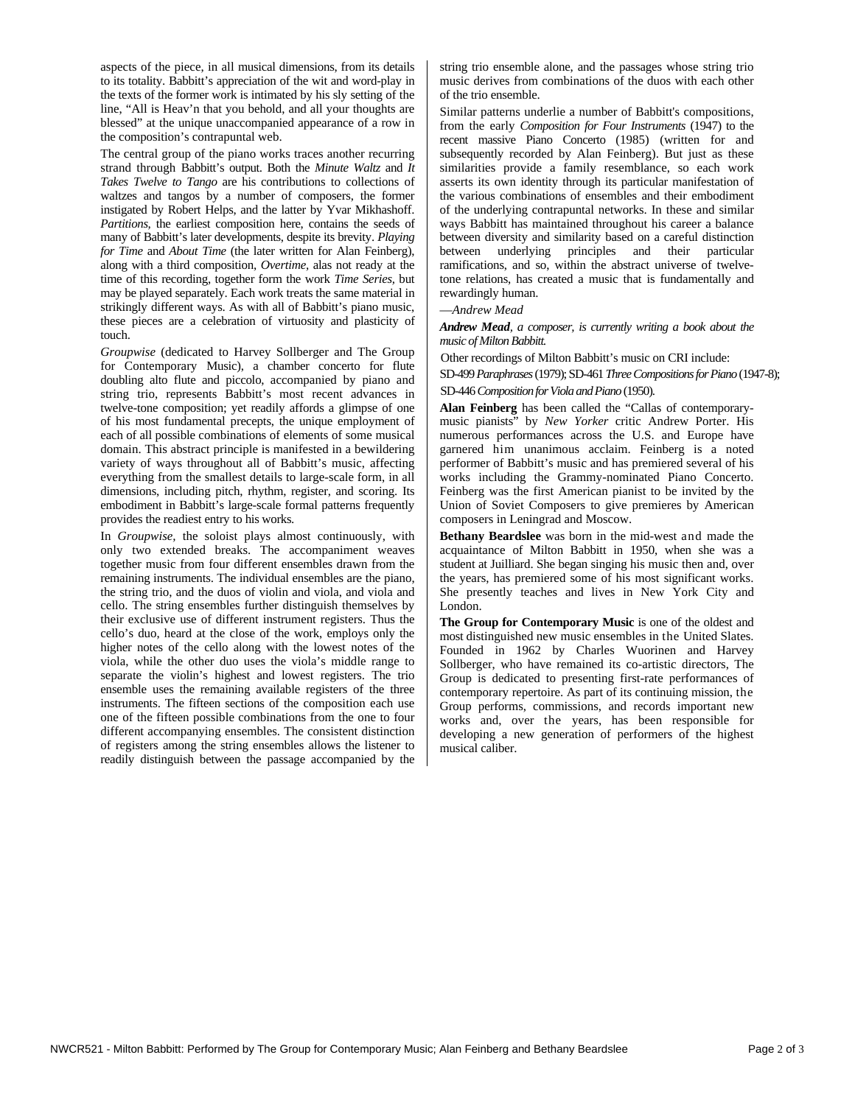aspects of the piece, in all musical dimensions, from its details to its totality. Babbitt's appreciation of the wit and word-play in the texts of the former work is intimated by his sly setting of the line, "All is Heav'n that you behold, and all your thoughts are blessed" at the unique unaccompanied appearance of a row in the composition's contrapuntal web.

The central group of the piano works traces another recurring strand through Babbitt's output. Both the *Minute Waltz* and *It Takes Twelve to Tango* are his contributions to collections of waltzes and tangos by a number of composers, the former instigated by Robert Helps, and the latter by Yvar Mikhashoff. *Partitions,* the earliest composition here, contains the seeds of many of Babbitt's later developments, despite its brevity. *Playing for Time* and *About Time* (the later written for Alan Feinberg), along with a third composition, *Overtime,* alas not ready at the time of this recording, together form the work *Time Series,* but may be played separately. Each work treats the same material in strikingly different ways. As with all of Babbitt's piano music, these pieces are a celebration of virtuosity and plasticity of touch.

*Groupwise* (dedicated to Harvey Sollberger and The Group for Contemporary Music), a chamber concerto for flute doubling alto flute and piccolo, accompanied by piano and string trio, represents Babbitt's most recent advances in twelve-tone composition; yet readily affords a glimpse of one of his most fundamental precepts, the unique employment of each of all possible combinations of elements of some musical domain. This abstract principle is manifested in a bewildering variety of ways throughout all of Babbitt's music, affecting everything from the smallest details to large-scale form, in all dimensions, including pitch, rhythm, register, and scoring. Its embodiment in Babbitt's large-scale formal patterns frequently provides the readiest entry to his works.

In *Groupwise,* the soloist plays almost continuously, with only two extended breaks. The accompaniment weaves together music from four different ensembles drawn from the remaining instruments. The individual ensembles are the piano, the string trio, and the duos of violin and viola, and viola and cello. The string ensembles further distinguish themselves by their exclusive use of different instrument registers. Thus the cello's duo, heard at the close of the work, employs only the higher notes of the cello along with the lowest notes of the viola, while the other duo uses the viola's middle range to separate the violin's highest and lowest registers. The trio ensemble uses the remaining available registers of the three instruments. The fifteen sections of the composition each use one of the fifteen possible combinations from the one to four different accompanying ensembles. The consistent distinction of registers among the string ensembles allows the listener to readily distinguish between the passage accompanied by the string trio ensemble alone, and the passages whose string trio music derives from combinations of the duos with each other of the trio ensemble.

Similar patterns underlie a number of Babbitt's compositions, from the early *Composition for Four Instruments* (1947) to the recent massive Piano Concerto (1985) (written for and subsequently recorded by Alan Feinberg). But just as these similarities provide a family resemblance, so each work asserts its own identity through its particular manifestation of the various combinations of ensembles and their embodiment of the underlying contrapuntal networks. In these and similar ways Babbitt has maintained throughout his career a balance between diversity and similarity based on a careful distinction between underlying principles and their particular ramifications, and so, within the abstract universe of twelvetone relations, has created a music that is fundamentally and rewardingly human.

#### —*Andrew Mead*

*Andrew Mead, a composer, is currently writing a book about the music of Milton Babbitt.* 

Other recordings of Milton Babbitt's music on CRI include:

SD-499 *Paraphrases* (1979); SD-461*Three Compositions for Piano* (1947-8); SD-446 *Composition for Viola and Piano* (1950).

**Alan Feinberg** has been called the "Callas of contemporarymusic pianists" by *New Yorker* critic Andrew Porter. His numerous performances across the U.S. and Europe have garnered him unanimous acclaim. Feinberg is a noted performer of Babbitt's music and has premiered several of his works including the Grammy-nominated Piano Concerto. Feinberg was the first American pianist to be invited by the Union of Soviet Composers to give premieres by American composers in Leningrad and Moscow.

**Bethany Beardslee** was born in the mid-west and made the acquaintance of Milton Babbitt in 1950, when she was a student at Juilliard. She began singing his music then and, over the years, has premiered some of his most significant works. She presently teaches and lives in New York City and London.

**The Group for Contemporary Music** is one of the oldest and most distinguished new music ensembles in the United Slates. Founded in 1962 by Charles Wuorinen and Harvey Sollberger, who have remained its co-artistic directors, The Group is dedicated to presenting first-rate performances of contemporary repertoire. As part of its continuing mission, the Group performs, commissions, and records important new works and, over the years, has been responsible for developing a new generation of performers of the highest musical caliber.